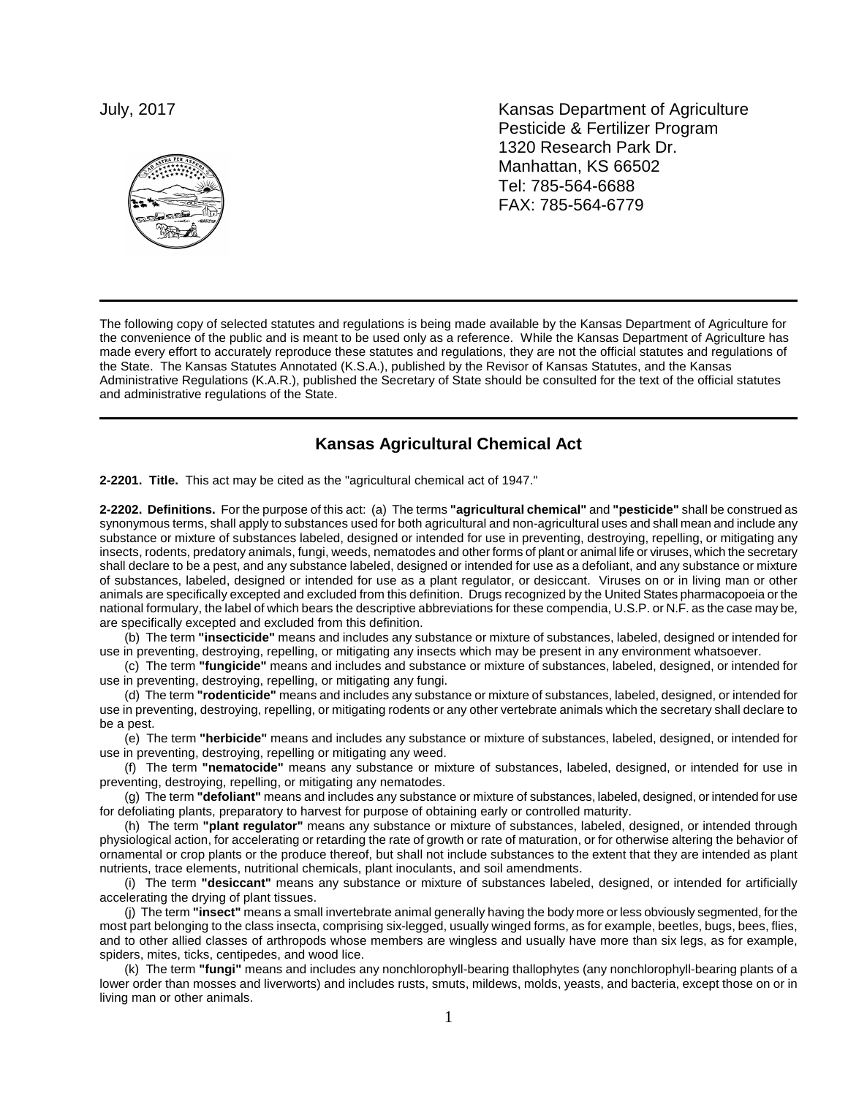

July, 2017 **Kansas Department of Agriculture** Pesticide & Fertilizer Program 1320 Research Park Dr. Manhattan, KS 66502 Tel: 785-564-6688 FAX: 785-564-6779

The following copy of selected statutes and regulations is being made available by the Kansas Department of Agriculture for the convenience of the public and is meant to be used only as a reference. While the Kansas Department of Agriculture has made every effort to accurately reproduce these statutes and regulations, they are not the official statutes and regulations of the State. The Kansas Statutes Annotated (K.S.A.), published by the Revisor of Kansas Statutes, and the Kansas Administrative Regulations (K.A.R.), published the Secretary of State should be consulted for the text of the official statutes and administrative regulations of the State.

## **Kansas Agricultural Chemical Act**

**2-2201. Title.** This act may be cited as the "agricultural chemical act of 1947."

**2-2202. Definitions.** For the purpose of this act:(a) The terms **"agricultural chemical"** and **"pesticide"** shall be construed as synonymous terms, shall apply to substances used for both agricultural and non-agricultural uses and shall mean and include any substance or mixture of substances labeled, designed or intended for use in preventing, destroying, repelling, or mitigating any insects, rodents, predatory animals, fungi, weeds, nematodes and other forms of plant or animal life or viruses, which the secretary shall declare to be a pest, and any substance labeled, designed or intended for use as a defoliant, and any substance or mixture of substances, labeled, designed or intended for use as a plant regulator, or desiccant. Viruses on or in living man or other animals are specifically excepted and excluded from this definition. Drugs recognized by the United States pharmacopoeia or the national formulary, the label of which bears the descriptive abbreviations for these compendia, U.S.P. or N.F. as the case may be, are specifically excepted and excluded from this definition.

(b) The term **"insecticide"** means and includes any substance or mixture of substances, labeled, designed or intended for use in preventing, destroying, repelling, or mitigating any insects which may be present in any environment whatsoever.

(c) The term **"fungicide"** means and includes and substance or mixture of substances, labeled, designed, or intended for use in preventing, destroying, repelling, or mitigating any fungi.

(d) The term **"rodenticide"** means and includes any substance or mixture of substances, labeled, designed, or intended for use in preventing, destroying, repelling, or mitigating rodents or any other vertebrate animals which the secretary shall declare to be a pest.

(e) The term **"herbicide"** means and includes any substance or mixture of substances, labeled, designed, or intended for use in preventing, destroying, repelling or mitigating any weed.

(f) The term **"nematocide"** means any substance or mixture of substances, labeled, designed, or intended for use in preventing, destroying, repelling, or mitigating any nematodes.

(g) The term **"defoliant"** means and includes any substance or mixture of substances, labeled, designed, or intended for use for defoliating plants, preparatory to harvest for purpose of obtaining early or controlled maturity.

(h) The term **"plant regulator"** means any substance or mixture of substances, labeled, designed, or intended through physiological action, for accelerating or retarding the rate of growth or rate of maturation, or for otherwise altering the behavior of ornamental or crop plants or the produce thereof, but shall not include substances to the extent that they are intended as plant nutrients, trace elements, nutritional chemicals, plant inoculants, and soil amendments.

(i)The term **"desiccant"** means any substance or mixture of substances labeled, designed, or intended for artificially accelerating the drying of plant tissues.

(j)The term **"insect"** means a small invertebrate animal generally having the body more or less obviously segmented, for the most part belonging to the class insecta, comprising six-legged, usually winged forms, as for example, beetles, bugs, bees, flies, and to other allied classes of arthropods whose members are wingless and usually have more than six legs, as for example, spiders, mites, ticks, centipedes, and wood lice.

(k) The term **"fungi"** means and includes any nonchlorophyll-bearing thallophytes (any nonchlorophyll-bearing plants of a lower order than mosses and liverworts) and includes rusts, smuts, mildews, molds, yeasts, and bacteria, except those on or in living man or other animals.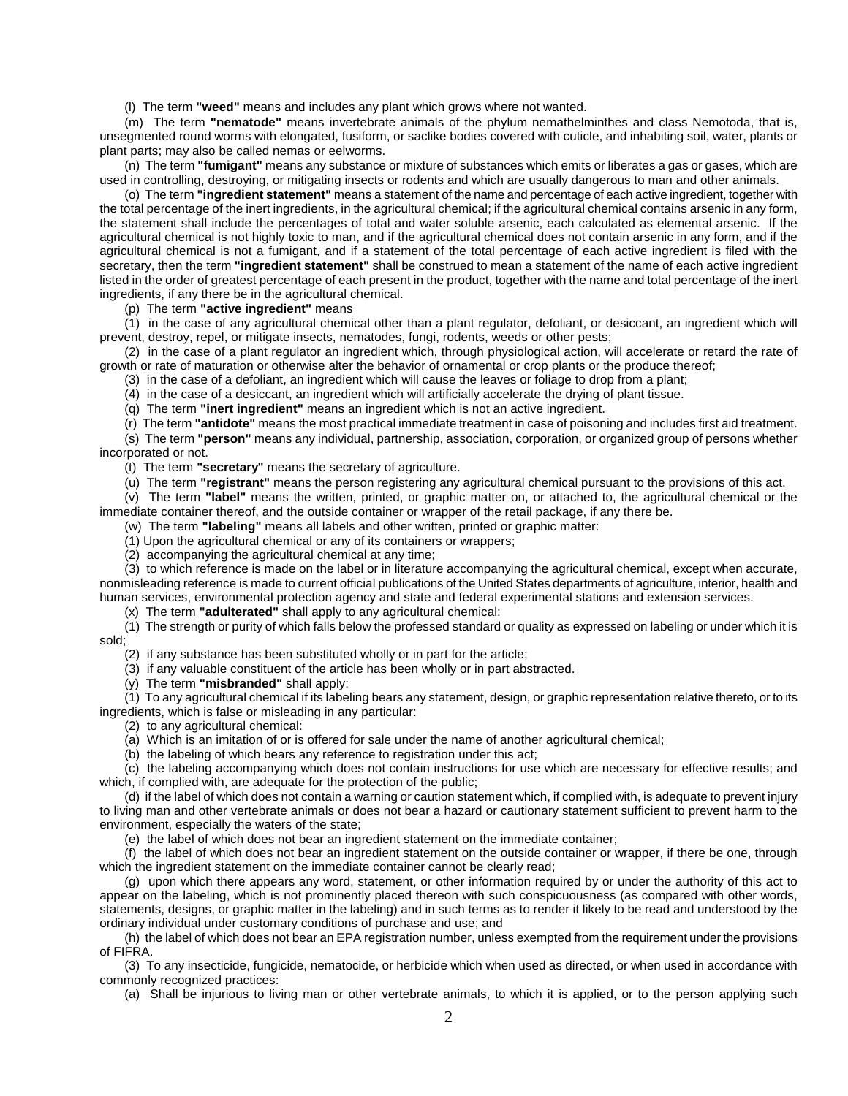(l) The term **"weed"** means and includes any plant which grows where not wanted.

(m) The term **"nematode"** means invertebrate animals of the phylum nemathelminthes and class Nemotoda, that is, unsegmented round worms with elongated, fusiform, or saclike bodies covered with cuticle, and inhabiting soil, water, plants or plant parts; may also be called nemas or eelworms.

(n) The term **"fumigant"** means any substance or mixture of substances which emits or liberates a gas or gases, which are used in controlling, destroying, or mitigating insects or rodents and which are usually dangerous to man and other animals.

(o) The term **"ingredient statement"** means a statement of the name and percentage of each active ingredient, together with the total percentage of the inert ingredients, in the agricultural chemical; if the agricultural chemical contains arsenic in any form, the statement shall include the percentages of total and water soluble arsenic, each calculated as elemental arsenic. If the agricultural chemical is not highly toxic to man, and if the agricultural chemical does not contain arsenic in any form, and if the agricultural chemical is not a fumigant, and if a statement of the total percentage of each active ingredient is filed with the secretary, then the term **"ingredient statement"** shall be construed to mean a statement of the name of each active ingredient listed in the order of greatest percentage of each present in the product, together with the name and total percentage of the inert ingredients, if any there be in the agricultural chemical.

(p) The term **"active ingredient"** means

(1) in the case of any agricultural chemical other than a plant regulator, defoliant, or desiccant, an ingredient which will prevent, destroy, repel, or mitigate insects, nematodes, fungi, rodents, weeds or other pests;

(2) in the case of a plant regulator an ingredient which, through physiological action, will accelerate or retard the rate of growth or rate of maturation or otherwise alter the behavior of ornamental or crop plants or the produce thereof;

(3) in the case of a defoliant, an ingredient which will cause the leaves or foliage to drop from a plant;

(4) in the case of a desiccant, an ingredient which will artificially accelerate the drying of plant tissue.

(q) The term **"inert ingredient"** means an ingredient which is not an active ingredient.

(r) The term **"antidote"** means the most practical immediate treatment in case of poisoning and includes first aid treatment. (s) The term **"person"** means any individual, partnership, association, corporation, or organized group of persons whether incorporated or not.

(t)The term **"secretary"** means the secretary of agriculture.

(u) The term **"registrant"** means the person registering any agricultural chemical pursuant to the provisions of this act.

(v) The term **"label"** means the written, printed, or graphic matter on, or attached to, the agricultural chemical or the immediate container thereof, and the outside container or wrapper of the retail package, if any there be.

(w) The term **"labeling"** means all labels and other written, printed or graphic matter:

(1) Upon the agricultural chemical or any of its containers or wrappers;

(2) accompanying the agricultural chemical at any time;

(3)to which reference is made on the label or in literature accompanying the agricultural chemical, except when accurate, nonmisleading reference is made to current official publications of the United States departments of agriculture, interior, health and human services, environmental protection agency and state and federal experimental stations and extension services.

(x) The term **"adulterated"** shall apply to any agricultural chemical:

(1) The strength or purity of which falls below the professed standard or quality as expressed on labeling or under which it is sold;

(2) if any substance has been substituted wholly or in part for the article;

(3) if any valuable constituent of the article has been wholly or in part abstracted.

(y) The term **"misbranded"** shall apply:

(1) To any agricultural chemical if its labeling bears any statement, design, or graphic representation relative thereto, or to its ingredients, which is false or misleading in any particular:

(2) to any agricultural chemical:

(a) Which is an imitation of or is offered for sale under the name of another agricultural chemical;

(b) the labeling of which bears any reference to registration under this act;

(c) the labeling accompanying which does not contain instructions for use which are necessary for effective results; and which, if complied with, are adequate for the protection of the public;

(d) if the label of which does not contain a warning or caution statement which, if complied with, is adequate to prevent injury to living man and other vertebrate animals or does not bear a hazard or cautionary statement sufficient to prevent harm to the environment, especially the waters of the state;

(e) the label of which does not bear an ingredient statement on the immediate container;

(f) the label of which does not bear an ingredient statement on the outside container or wrapper, if there be one, through which the ingredient statement on the immediate container cannot be clearly read;

(g) upon which there appears any word, statement, or other information required by or under the authority of this act to appear on the labeling, which is not prominently placed thereon with such conspicuousness (as compared with other words, statements, designs, or graphic matter in the labeling) and in such terms as to render it likely to be read and understood by the ordinary individual under customary conditions of purchase and use; and

(h) the label of which does not bear an EPA registration number, unless exempted from the requirement under the provisions of FIFRA.

(3) To any insecticide, fungicide, nematocide, or herbicide which when used as directed, or when used in accordance with commonly recognized practices:

(a) Shall be injurious to living man or other vertebrate animals, to which it is applied, or to the person applying such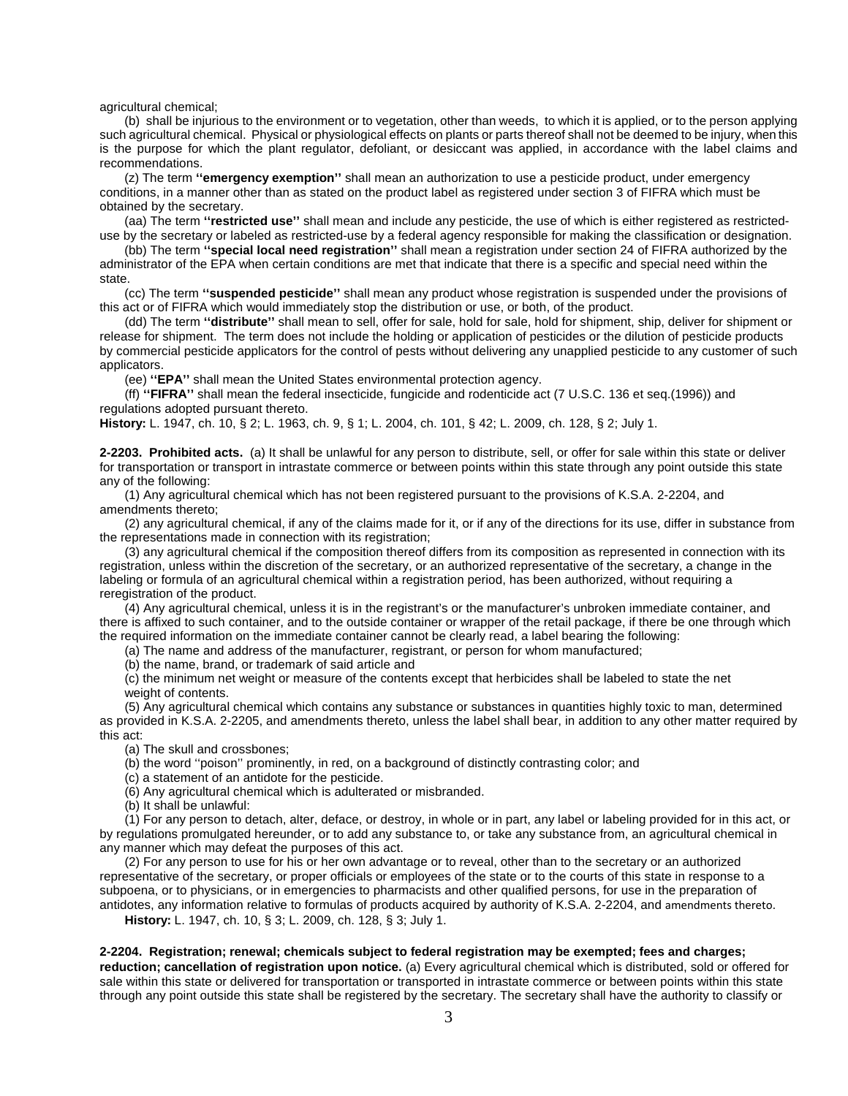agricultural chemical;

(b) shall be injurious to the environment or to vegetation, other than weeds, to which it is applied, or to the person applying such agricultural chemical. Physical or physiological effects on plants or parts thereof shall not be deemed to be injury, when this is the purpose for which the plant regulator, defoliant, or desiccant was applied, in accordance with the label claims and recommendations.

(z) The term **''emergency exemption''** shall mean an authorization to use a pesticide product, under emergency conditions, in a manner other than as stated on the product label as registered under section 3 of FIFRA which must be obtained by the secretary.

(aa) The term **''restricted use''** shall mean and include any pesticide, the use of which is either registered as restricteduse by the secretary or labeled as restricted-use by a federal agency responsible for making the classification or designation.

(bb) The term **''special local need registration''** shall mean a registration under section 24 of FIFRA authorized by the administrator of the EPA when certain conditions are met that indicate that there is a specific and special need within the state.

(cc) The term **''suspended pesticide''** shall mean any product whose registration is suspended under the provisions of this act or of FIFRA which would immediately stop the distribution or use, or both, of the product.

(dd) The term **''distribute''** shall mean to sell, offer for sale, hold for sale, hold for shipment, ship, deliver for shipment or release for shipment. The term does not include the holding or application of pesticides or the dilution of pesticide products by commercial pesticide applicators for the control of pests without delivering any unapplied pesticide to any customer of such applicators.

(ee) **''EPA''** shall mean the United States environmental protection agency.

(ff) **''FIFRA''** shall mean the federal insecticide, fungicide and rodenticide act (7 U.S.C. 136 et seq.(1996)) and regulations adopted pursuant thereto.

**History:** L. 1947, ch. 10, § 2; L. 1963, ch. 9, § 1; L. 2004, ch. 101, § 42; L. 2009, ch. 128, § 2; July 1.

**2-2203. Prohibited acts.** (a) It shall be unlawful for any person to distribute, sell, or offer for sale within this state or deliver for transportation or transport in intrastate commerce or between points within this state through any point outside this state any of the following:

(1) Any agricultural chemical which has not been registered pursuant to the provisions of K.S.A. 2-2204, and amendments thereto;

(2) any agricultural chemical, if any of the claims made for it, or if any of the directions for its use, differ in substance from the representations made in connection with its registration;

(3) any agricultural chemical if the composition thereof differs from its composition as represented in connection with its registration, unless within the discretion of the secretary, or an authorized representative of the secretary, a change in the labeling or formula of an agricultural chemical within a registration period, has been authorized, without requiring a reregistration of the product.

(4) Any agricultural chemical, unless it is in the registrant's or the manufacturer's unbroken immediate container, and there is affixed to such container, and to the outside container or wrapper of the retail package, if there be one through which the required information on the immediate container cannot be clearly read, a label bearing the following:

(a) The name and address of the manufacturer, registrant, or person for whom manufactured;

(b) the name, brand, or trademark of said article and

(c) the minimum net weight or measure of the contents except that herbicides shall be labeled to state the net weight of contents.

(5) Any agricultural chemical which contains any substance or substances in quantities highly toxic to man, determined as provided in K.S.A. 2-2205, and amendments thereto, unless the label shall bear, in addition to any other matter required by this act:

(a) The skull and crossbones;

(b) the word ''poison'' prominently, in red, on a background of distinctly contrasting color; and

(c) a statement of an antidote for the pesticide.

(6) Any agricultural chemical which is adulterated or misbranded.

(b) It shall be unlawful:

(1) For any person to detach, alter, deface, or destroy, in whole or in part, any label or labeling provided for in this act, or by regulations promulgated hereunder, or to add any substance to, or take any substance from, an agricultural chemical in any manner which may defeat the purposes of this act.

(2) For any person to use for his or her own advantage or to reveal, other than to the secretary or an authorized representative of the secretary, or proper officials or employees of the state or to the courts of this state in response to a subpoena, or to physicians, or in emergencies to pharmacists and other qualified persons, for use in the preparation of antidotes, any information relative to formulas of products acquired by authority of K.S.A. 2-2204, and amendments thereto.

**History:** L. 1947, ch. 10, § 3; L. 2009, ch. 128, § 3; July 1.

## **2-2204. Registration; renewal; chemicals subject to federal registration may be exempted; fees and charges;**

**reduction; cancellation of registration upon notice.** (a) Every agricultural chemical which is distributed, sold or offered for sale within this state or delivered for transportation or transported in intrastate commerce or between points within this state through any point outside this state shall be registered by the secretary. The secretary shall have the authority to classify or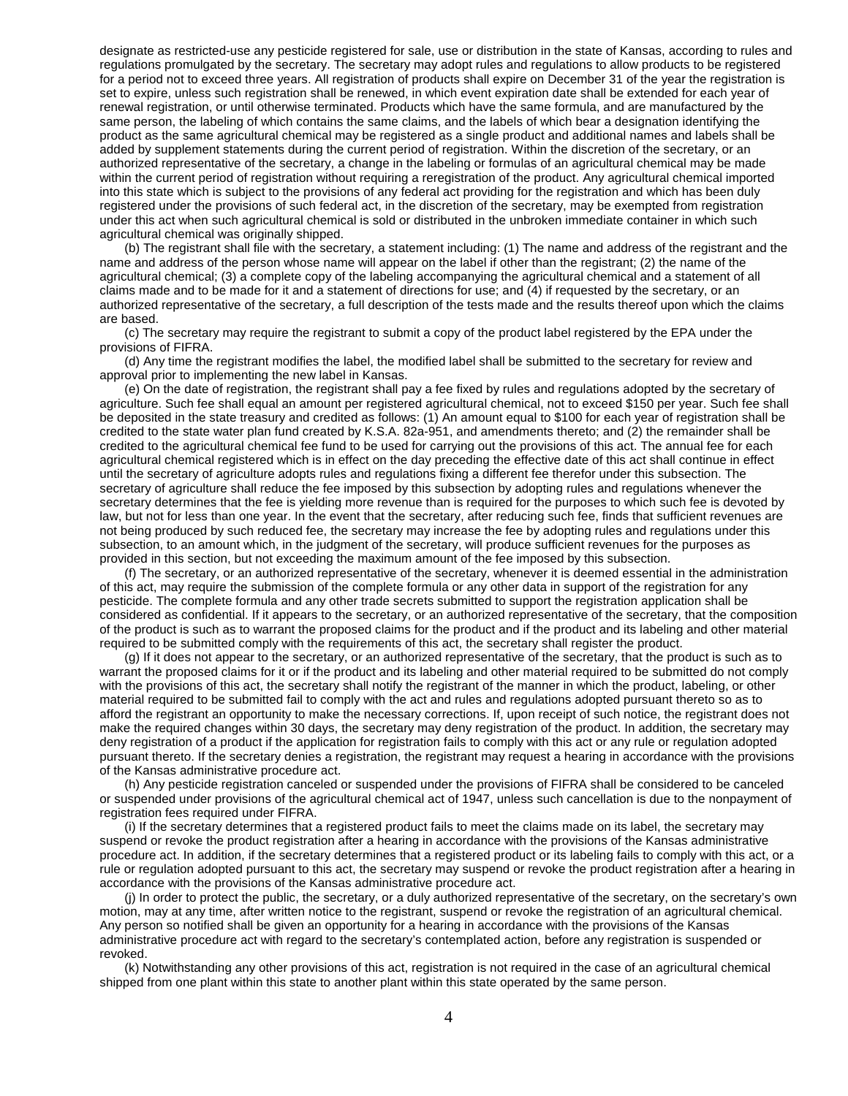designate as restricted-use any pesticide registered for sale, use or distribution in the state of Kansas, according to rules and regulations promulgated by the secretary. The secretary may adopt rules and regulations to allow products to be registered for a period not to exceed three years. All registration of products shall expire on December 31 of the year the registration is set to expire, unless such registration shall be renewed, in which event expiration date shall be extended for each year of renewal registration, or until otherwise terminated. Products which have the same formula, and are manufactured by the same person, the labeling of which contains the same claims, and the labels of which bear a designation identifying the product as the same agricultural chemical may be registered as a single product and additional names and labels shall be added by supplement statements during the current period of registration. Within the discretion of the secretary, or an authorized representative of the secretary, a change in the labeling or formulas of an agricultural chemical may be made within the current period of registration without requiring a reregistration of the product. Any agricultural chemical imported into this state which is subject to the provisions of any federal act providing for the registration and which has been duly registered under the provisions of such federal act, in the discretion of the secretary, may be exempted from registration under this act when such agricultural chemical is sold or distributed in the unbroken immediate container in which such agricultural chemical was originally shipped.

(b) The registrant shall file with the secretary, a statement including: (1) The name and address of the registrant and the name and address of the person whose name will appear on the label if other than the registrant; (2) the name of the agricultural chemical; (3) a complete copy of the labeling accompanying the agricultural chemical and a statement of all claims made and to be made for it and a statement of directions for use; and (4) if requested by the secretary, or an authorized representative of the secretary, a full description of the tests made and the results thereof upon which the claims are based.

(c) The secretary may require the registrant to submit a copy of the product label registered by the EPA under the provisions of FIFRA.

(d) Any time the registrant modifies the label, the modified label shall be submitted to the secretary for review and approval prior to implementing the new label in Kansas.

(e) On the date of registration, the registrant shall pay a fee fixed by rules and regulations adopted by the secretary of agriculture. Such fee shall equal an amount per registered agricultural chemical, not to exceed \$150 per year. Such fee shall be deposited in the state treasury and credited as follows: (1) An amount equal to \$100 for each year of registration shall be credited to the state water plan fund created by K.S.A. 82a-951, and amendments thereto; and (2) the remainder shall be credited to the agricultural chemical fee fund to be used for carrying out the provisions of this act. The annual fee for each agricultural chemical registered which is in effect on the day preceding the effective date of this act shall continue in effect until the secretary of agriculture adopts rules and regulations fixing a different fee therefor under this subsection. The secretary of agriculture shall reduce the fee imposed by this subsection by adopting rules and regulations whenever the secretary determines that the fee is yielding more revenue than is required for the purposes to which such fee is devoted by law, but not for less than one year. In the event that the secretary, after reducing such fee, finds that sufficient revenues are not being produced by such reduced fee, the secretary may increase the fee by adopting rules and regulations under this subsection, to an amount which, in the judgment of the secretary, will produce sufficient revenues for the purposes as provided in this section, but not exceeding the maximum amount of the fee imposed by this subsection.

(f) The secretary, or an authorized representative of the secretary, whenever it is deemed essential in the administration of this act, may require the submission of the complete formula or any other data in support of the registration for any pesticide. The complete formula and any other trade secrets submitted to support the registration application shall be considered as confidential. If it appears to the secretary, or an authorized representative of the secretary, that the composition of the product is such as to warrant the proposed claims for the product and if the product and its labeling and other material required to be submitted comply with the requirements of this act, the secretary shall register the product.

(g) If it does not appear to the secretary, or an authorized representative of the secretary, that the product is such as to warrant the proposed claims for it or if the product and its labeling and other material required to be submitted do not comply with the provisions of this act, the secretary shall notify the registrant of the manner in which the product, labeling, or other material required to be submitted fail to comply with the act and rules and regulations adopted pursuant thereto so as to afford the registrant an opportunity to make the necessary corrections. If, upon receipt of such notice, the registrant does not make the required changes within 30 days, the secretary may deny registration of the product. In addition, the secretary may deny registration of a product if the application for registration fails to comply with this act or any rule or regulation adopted pursuant thereto. If the secretary denies a registration, the registrant may request a hearing in accordance with the provisions of the Kansas administrative procedure act.

(h) Any pesticide registration canceled or suspended under the provisions of FIFRA shall be considered to be canceled or suspended under provisions of the agricultural chemical act of 1947, unless such cancellation is due to the nonpayment of registration fees required under FIFRA.

(i) If the secretary determines that a registered product fails to meet the claims made on its label, the secretary may suspend or revoke the product registration after a hearing in accordance with the provisions of the Kansas administrative procedure act. In addition, if the secretary determines that a registered product or its labeling fails to comply with this act, or a rule or regulation adopted pursuant to this act, the secretary may suspend or revoke the product registration after a hearing in accordance with the provisions of the Kansas administrative procedure act.

(j) In order to protect the public, the secretary, or a duly authorized representative of the secretary, on the secretary's own motion, may at any time, after written notice to the registrant, suspend or revoke the registration of an agricultural chemical. Any person so notified shall be given an opportunity for a hearing in accordance with the provisions of the Kansas administrative procedure act with regard to the secretary's contemplated action, before any registration is suspended or revoked.

(k) Notwithstanding any other provisions of this act, registration is not required in the case of an agricultural chemical shipped from one plant within this state to another plant within this state operated by the same person.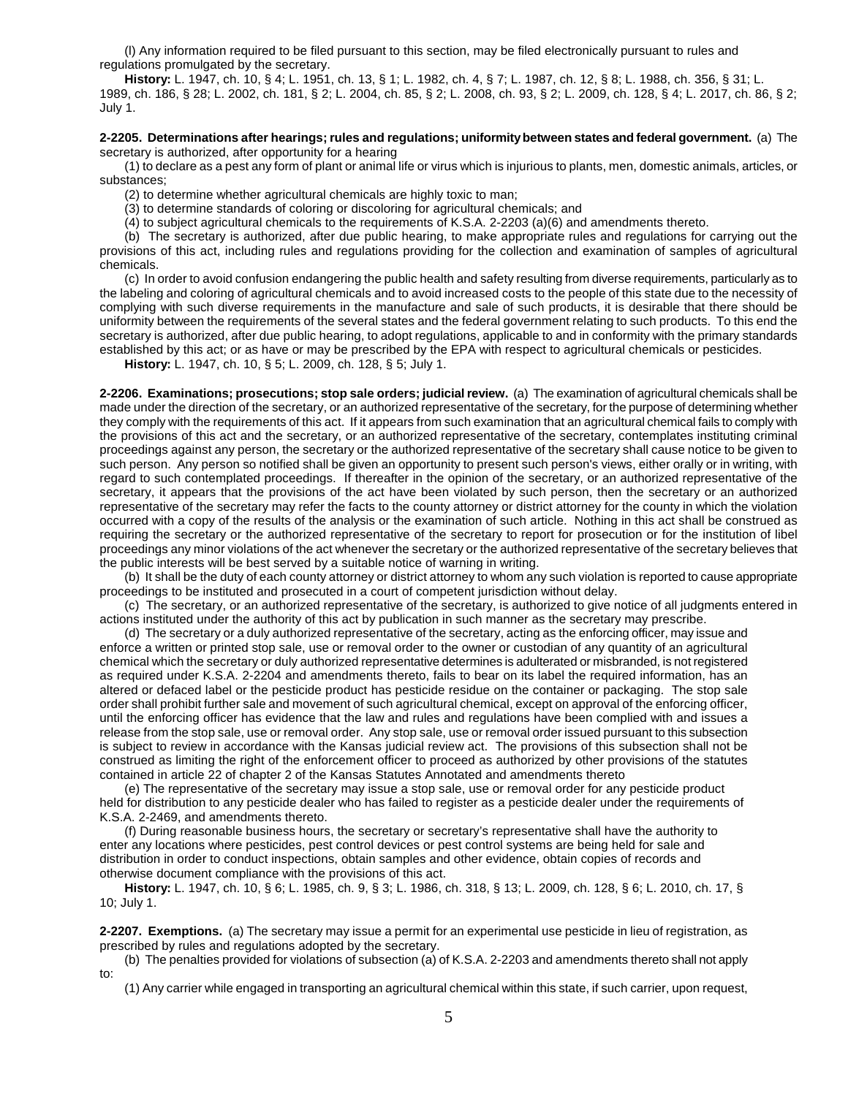(l) Any information required to be filed pursuant to this section, may be filed electronically pursuant to rules and regulations promulgated by the secretary.

**History:** L. 1947, ch. 10, § 4; L. 1951, ch. 13, § 1; L. 1982, ch. 4, § 7; L. 1987, ch. 12, § 8; L. 1988, ch. 356, § 31; L. 1989, ch. 186, § 28; L. 2002, ch. 181, § 2; L. 2004, ch. 85, § 2; L. 2008, ch. 93, § 2; L. 2009, ch. 128, § 4; L. 2017, ch. 86, § 2; July 1.

## **2-2205. Determinations after hearings; rules and regulations; uniformity between states and federal government.** (a) The secretary is authorized, after opportunity for a hearing

(1) to declare as a pest any form of plant or animal life or virus which is injurious to plants, men, domestic animals, articles, or substances;

(2) to determine whether agricultural chemicals are highly toxic to man;

(3) to determine standards of coloring or discoloring for agricultural chemicals; and

(4) to subject agricultural chemicals to the requirements of K.S.A. 2-2203 (a)(6) and amendments thereto.

(b) The secretary is authorized, after due public hearing, to make appropriate rules and regulations for carrying out the provisions of this act, including rules and regulations providing for the collection and examination of samples of agricultural chemicals.

(c) In order to avoid confusion endangering the public health and safety resulting from diverse requirements, particularly as to the labeling and coloring of agricultural chemicals and to avoid increased costs to the people of this state due to the necessity of complying with such diverse requirements in the manufacture and sale of such products, it is desirable that there should be uniformity between the requirements of the several states and the federal government relating to such products. To this end the secretary is authorized, after due public hearing, to adopt regulations, applicable to and in conformity with the primary standards established by this act; or as have or may be prescribed by the EPA with respect to agricultural chemicals or pesticides.

**History:** L. 1947, ch. 10, § 5; L. 2009, ch. 128, § 5; July 1.

**2-2206. Examinations; prosecutions; stop sale orders; judicial review.** (a) The examination of agricultural chemicals shall be made under the direction of the secretary, or an authorized representative of the secretary, for the purpose of determining whether they comply with the requirements of this act. If it appears from such examination that an agricultural chemical fails to comply with the provisions of this act and the secretary, or an authorized representative of the secretary, contemplates instituting criminal proceedings against any person, the secretary or the authorized representative of the secretary shall cause notice to be given to such person. Any person so notified shall be given an opportunity to present such person's views, either orally or in writing, with regard to such contemplated proceedings. If thereafter in the opinion of the secretary, or an authorized representative of the secretary, it appears that the provisions of the act have been violated by such person, then the secretary or an authorized representative of the secretary may refer the facts to the county attorney or district attorney for the county in which the violation occurred with a copy of the results of the analysis or the examination of such article. Nothing in this act shall be construed as requiring the secretary or the authorized representative of the secretary to report for prosecution or for the institution of libel proceedings any minor violations of the act whenever the secretary or the authorized representative of the secretary believes that the public interests will be best served by a suitable notice of warning in writing.

(b) It shall be the duty of each county attorney or district attorney to whom any such violation is reported to cause appropriate proceedings to be instituted and prosecuted in a court of competent jurisdiction without delay.

(c) The secretary, or an authorized representative of the secretary, is authorized to give notice of all judgments entered in actions instituted under the authority of this act by publication in such manner as the secretary may prescribe.

(d) The secretary or a duly authorized representative of the secretary, acting as the enforcing officer, may issue and enforce a written or printed stop sale, use or removal order to the owner or custodian of any quantity of an agricultural chemical which the secretary or duly authorized representative determines is adulterated or misbranded, is not registered as required under K.S.A. 2-2204 and amendments thereto, fails to bear on its label the required information, has an altered or defaced label or the pesticide product has pesticide residue on the container or packaging. The stop sale order shall prohibit further sale and movement of such agricultural chemical, except on approval of the enforcing officer, until the enforcing officer has evidence that the law and rules and regulations have been complied with and issues a release from the stop sale, use or removal order. Any stop sale, use or removal order issued pursuant to this subsection is subject to review in accordance with the Kansas judicial review act. The provisions of this subsection shall not be construed as limiting the right of the enforcement officer to proceed as authorized by other provisions of the statutes contained in article 22 of chapter 2 of the Kansas Statutes Annotated and amendments thereto

(e) The representative of the secretary may issue a stop sale, use or removal order for any pesticide product held for distribution to any pesticide dealer who has failed to register as a pesticide dealer under the requirements of K.S.A. 2-2469, and amendments thereto.

(f) During reasonable business hours, the secretary or secretary's representative shall have the authority to enter any locations where pesticides, pest control devices or pest control systems are being held for sale and distribution in order to conduct inspections, obtain samples and other evidence, obtain copies of records and otherwise document compliance with the provisions of this act.

**History:** L. 1947, ch. 10, § 6; L. 1985, ch. 9, § 3; L. 1986, ch. 318, § 13; L. 2009, ch. 128, § 6; L. 2010, ch. 17, § 10; July 1.

**2-2207. Exemptions.** (a) The secretary may issue a permit for an experimental use pesticide in lieu of registration, as prescribed by rules and regulations adopted by the secretary.

(b) The penalties provided for violations of subsection (a) of K.S.A. 2-2203 and amendments thereto shall not apply to:

(1) Any carrier while engaged in transporting an agricultural chemical within this state, if such carrier, upon request,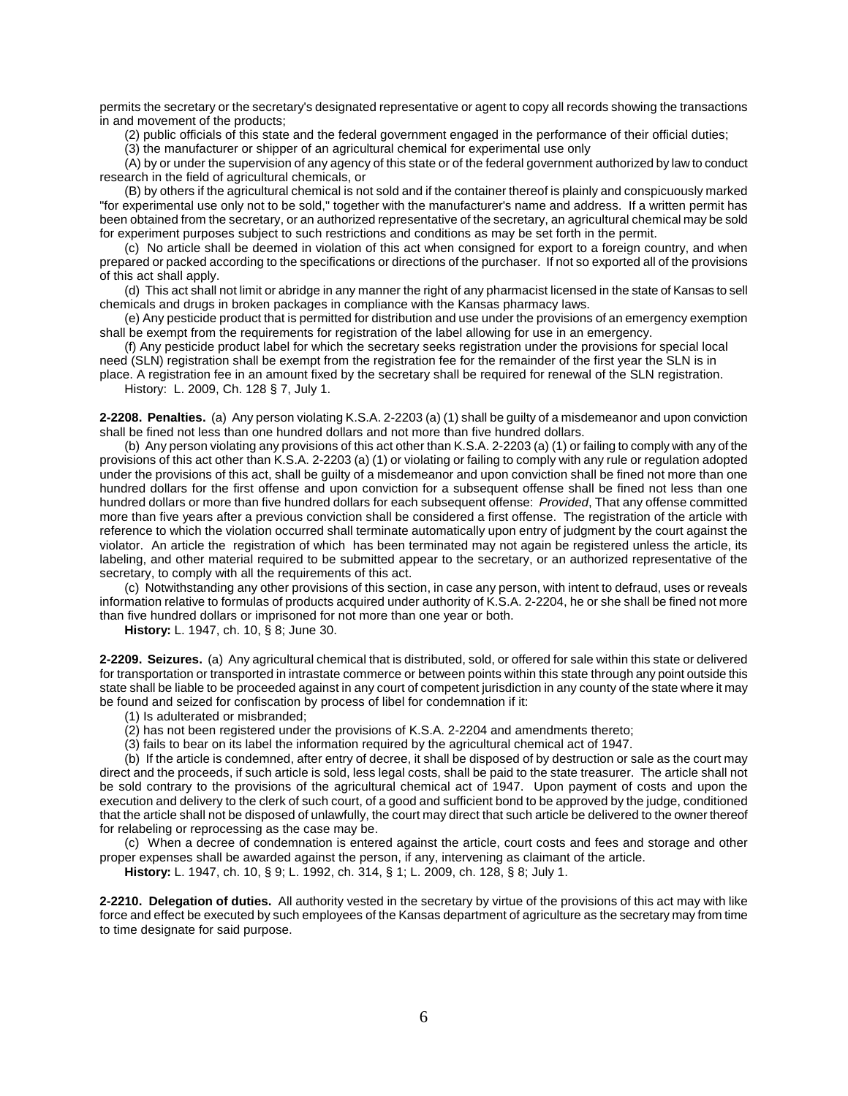permits the secretary or the secretary's designated representative or agent to copy all records showing the transactions in and movement of the products;

(2) public officials of this state and the federal government engaged in the performance of their official duties;

(3) the manufacturer or shipper of an agricultural chemical for experimental use only

(A) by or under the supervision of any agency of this state or of the federal government authorized by law to conduct research in the field of agricultural chemicals, or

(B) by others if the agricultural chemical is not sold and if the container thereof is plainly and conspicuously marked "for experimental use only not to be sold," together with the manufacturer's name and address. If a written permit has been obtained from the secretary, or an authorized representative of the secretary, an agricultural chemical may be sold for experiment purposes subject to such restrictions and conditions as may be set forth in the permit.

(c) No article shall be deemed in violation of this act when consigned for export to a foreign country, and when prepared or packed according to the specifications or directions of the purchaser. If not so exported all of the provisions of this act shall apply.

(d) This act shall not limit or abridge in any manner the right of any pharmacist licensed in the state of Kansas to sell chemicals and drugs in broken packages in compliance with the Kansas pharmacy laws.

(e) Any pesticide product that is permitted for distribution and use under the provisions of an emergency exemption shall be exempt from the requirements for registration of the label allowing for use in an emergency.

(f) Any pesticide product label for which the secretary seeks registration under the provisions for special local need (SLN) registration shall be exempt from the registration fee for the remainder of the first year the SLN is in

place. A registration fee in an amount fixed by the secretary shall be required for renewal of the SLN registration.

History: L. 2009, Ch. 128 § 7, July 1.

**2-2208. Penalties.** (a) Any person violating K.S.A. 2-2203 (a) (1) shall be guilty of a misdemeanor and upon conviction shall be fined not less than one hundred dollars and not more than five hundred dollars.

(b) Any person violating any provisions of this act other than K.S.A. 2-2203 (a) (1) or failing to comply with any of the provisions of this act other than K.S.A. 2-2203 (a) (1) or violating or failing to comply with any rule or regulation adopted under the provisions of this act, shall be guilty of a misdemeanor and upon conviction shall be fined not more than one hundred dollars for the first offense and upon conviction for a subsequent offense shall be fined not less than one hundred dollars or more than five hundred dollars for each subsequent offense: *Provided*, That any offense committed more than five years after a previous conviction shall be considered a first offense. The registration of the article with reference to which the violation occurred shall terminate automatically upon entry of judgment by the court against the violator. An article the registration of which has been terminated may not again be registered unless the article, its labeling, and other material required to be submitted appear to the secretary, or an authorized representative of the secretary, to comply with all the requirements of this act.

(c) Notwithstanding any other provisions of this section, in case any person, with intent to defraud, uses or reveals information relative to formulas of products acquired under authority of K.S.A. 2-2204, he or she shall be fined not more than five hundred dollars or imprisoned for not more than one year or both.

**History:** L. 1947, ch. 10, § 8; June 30.

**2-2209. Seizures.** (a) Any agricultural chemical that is distributed, sold, or offered for sale within this state or delivered for transportation or transported in intrastate commerce or between points within this state through any point outside this state shall be liable to be proceeded against in any court of competent jurisdiction in any county of the state where it may be found and seized for confiscation by process of libel for condemnation if it:

(1) Is adulterated or misbranded;

(2) has not been registered under the provisions of K.S.A. 2-2204 and amendments thereto;

(3) fails to bear on its label the information required by the agricultural chemical act of 1947.

(b) If the article is condemned, after entry of decree, it shall be disposed of by destruction or sale as the court may direct and the proceeds, if such article is sold, less legal costs, shall be paid to the state treasurer. The article shall not be sold contrary to the provisions of the agricultural chemical act of 1947. Upon payment of costs and upon the execution and delivery to the clerk of such court, of a good and sufficient bond to be approved by the judge, conditioned that the article shall not be disposed of unlawfully, the court may direct that such article be delivered to the owner thereof for relabeling or reprocessing as the case may be.

(c) When a decree of condemnation is entered against the article, court costs and fees and storage and other proper expenses shall be awarded against the person, if any, intervening as claimant of the article.

**History:** L. 1947, ch. 10, § 9; L. 1992, ch. 314, § 1; L. 2009, ch. 128, § 8; July 1.

**2-2210. Delegation of duties.** All authority vested in the secretary by virtue of the provisions of this act may with like force and effect be executed by such employees of the Kansas department of agriculture as the secretary may from time to time designate for said purpose.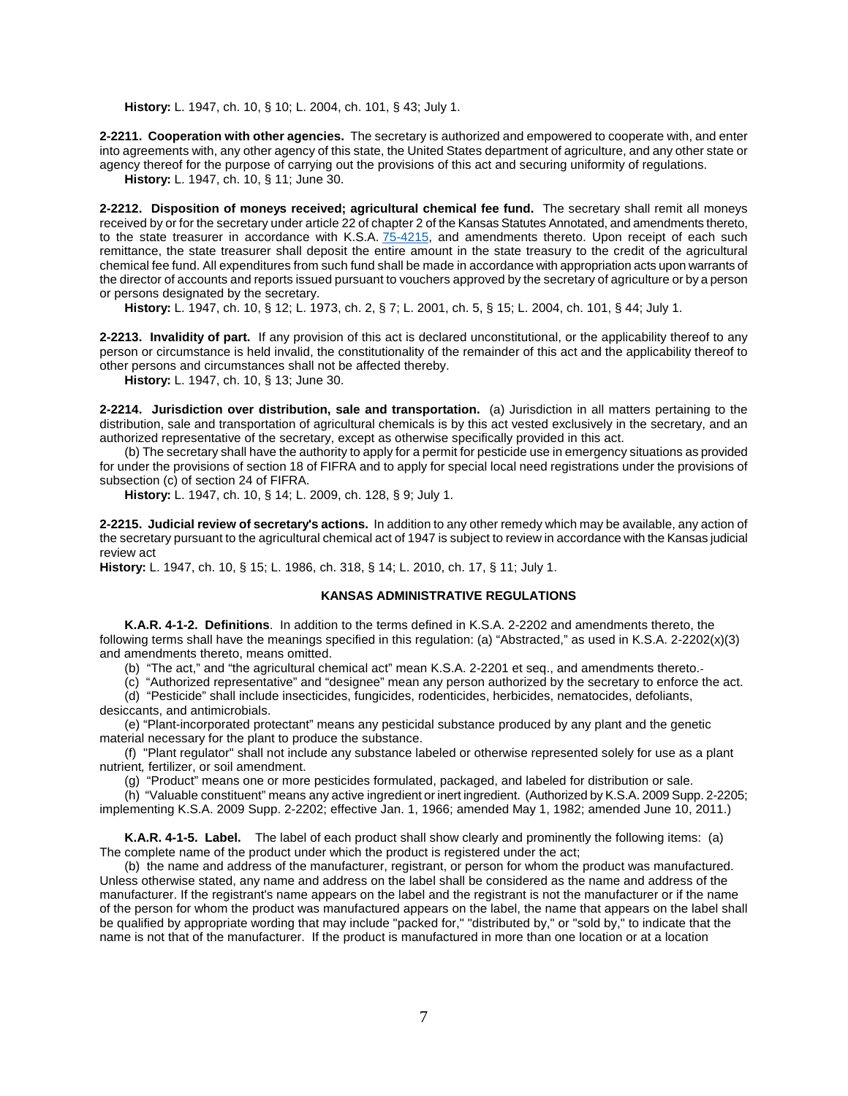**History:** L. 1947, ch. 10, § 10; L. 2004, ch. 101, § 43; July 1.

**2-2211. Cooperation with other agencies.** The secretary is authorized and empowered to cooperate with, and enter into agreements with, any other agency of this state, the United States department of agriculture, and any other state or agency thereof for the purpose of carrying out the provisions of this act and securing uniformity of regulations.

**History:** L. 1947, ch. 10, § 11; June 30.

**2-2212. Disposition of moneys received; agricultural chemical fee fund.** The secretary shall remit all moneys received by or for the secretary under article 22 of chapter 2 of the Kansas Statutes Annotated, and amendments thereto, to the state treasurer in accordance with K.S.A. [75-4215,](http://www.ksrevisor.org/statutes/chapters/ch75/075_042_0015.html) and amendments thereto. Upon receipt of each such remittance, the state treasurer shall deposit the entire amount in the state treasury to the credit of the agricultural chemical fee fund. All expenditures from such fund shall be made in accordance with appropriation acts upon warrants of the director of accounts and reports issued pursuant to vouchers approved by the secretary of agriculture or by a person or persons designated by the secretary.

**History:** L. 1947, ch. 10, § 12; L. 1973, ch. 2, § 7; L. 2001, ch. 5, § 15; L. 2004, ch. 101, § 44; July 1.

**2-2213. Invalidity of part.** If any provision of this act is declared unconstitutional, or the applicability thereof to any person or circumstance is held invalid, the constitutionality of the remainder of this act and the applicability thereof to other persons and circumstances shall not be affected thereby.

**History:** L. 1947, ch. 10, § 13; June 30.

**2-2214. Jurisdiction over distribution, sale and transportation.** (a) Jurisdiction in all matters pertaining to the distribution, sale and transportation of agricultural chemicals is by this act vested exclusively in the secretary, and an authorized representative of the secretary, except as otherwise specifically provided in this act.

(b) The secretary shall have the authority to apply for a permit for pesticide use in emergency situations as provided for under the provisions of section 18 of FIFRA and to apply for special local need registrations under the provisions of subsection (c) of section 24 of FIFRA.

**History:** L. 1947, ch. 10, § 14; L. 2009, ch. 128, § 9; July 1.

**2-2215. Judicial review of secretary's actions.** In addition to any other remedy which may be available, any action of the secretary pursuant to the agricultural chemical act of 1947 is subject to review in accordance with the Kansas judicial review act

**History:** L. 1947, ch. 10, § 15; L. 1986, ch. 318, § 14; L. 2010, ch. 17, § 11; July 1.

## **KANSAS ADMINISTRATIVE REGULATIONS**

**K.A.R. 4-1-2. Definitions**. In addition to the terms defined in K.S.A. 2-2202 and amendments thereto, the following terms shall have the meanings specified in this regulation: (a) "Abstracted," as used in K.S.A. 2-2202(x)(3) and amendments thereto, means omitted.

(b) "The act," and "the agricultural chemical act" mean K.S.A. 2-2201 et seq., and amendments thereto.

(c) "Authorized representative" and "designee" mean any person authorized by the secretary to enforce the act. (d) "Pesticide" shall include insecticides, fungicides, rodenticides, herbicides, nematocides, defoliants,

desiccants, and antimicrobials.

(e) "Plant-incorporated protectant" means any pesticidal substance produced by any plant and the genetic material necessary for the plant to produce the substance.

(f) "Plant regulator" shall not include any substance labeled or otherwise represented solely for use as a plant nutrient*,* fertilizer, or soil amendment.

(g) "Product" means one or more pesticides formulated, packaged, and labeled for distribution or sale.

(h) "Valuable constituent" means any active ingredient or inert ingredient. (Authorized by K.S.A. 2009 Supp. 2-2205; implementing K.S.A. 2009 Supp. 2-2202; effective Jan. 1, 1966; amended May 1, 1982; amended June 10, 2011.)

**K.A.R. 4-1-5. Label.** The label of each product shall show clearly and prominently the following items: (a) The complete name of the product under which the product is registered under the act;

(b) the name and address of the manufacturer, registrant, or person for whom the product was manufactured. Unless otherwise stated, any name and address on the label shall be considered as the name and address of the manufacturer. If the registrant's name appears on the label and the registrant is not the manufacturer or if the name of the person for whom the product was manufactured appears on the label, the name that appears on the label shall be qualified by appropriate wording that may include "packed for," "distributed by," or "sold by," to indicate that the name is not that of the manufacturer. If the product is manufactured in more than one location or at a location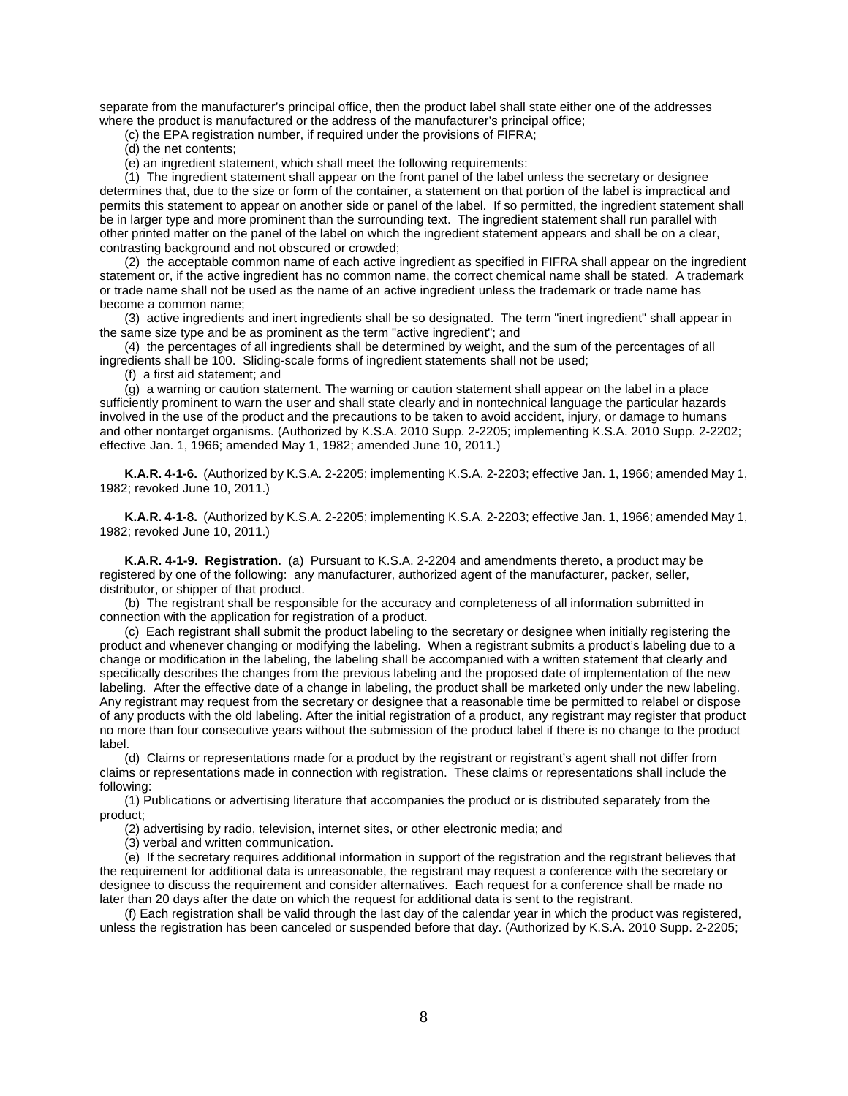separate from the manufacturer's principal office, then the product label shall state either one of the addresses where the product is manufactured or the address of the manufacturer's principal office;

(c) the EPA registration number, if required under the provisions of FIFRA;

(d) the net contents;

(e) an ingredient statement, which shall meet the following requirements:

(1) The ingredient statement shall appear on the front panel of the label unless the secretary or designee determines that, due to the size or form of the container, a statement on that portion of the label is impractical and permits this statement to appear on another side or panel of the label. If so permitted, the ingredient statement shall be in larger type and more prominent than the surrounding text. The ingredient statement shall run parallel with other printed matter on the panel of the label on which the ingredient statement appears and shall be on a clear, contrasting background and not obscured or crowded;

(2) the acceptable common name of each active ingredient as specified in FIFRA shall appear on the ingredient statement or, if the active ingredient has no common name, the correct chemical name shall be stated. A trademark or trade name shall not be used as the name of an active ingredient unless the trademark or trade name has become a common name;

(3) active ingredients and inert ingredients shall be so designated. The term "inert ingredient" shall appear in the same size type and be as prominent as the term "active ingredient"; and

(4) the percentages of all ingredients shall be determined by weight, and the sum of the percentages of all ingredients shall be 100. Sliding-scale forms of ingredient statements shall not be used;

(f) a first aid statement; and

(g) a warning or caution statement. The warning or caution statement shall appear on the label in a place sufficiently prominent to warn the user and shall state clearly and in nontechnical language the particular hazards involved in the use of the product and the precautions to be taken to avoid accident, injury, or damage to humans and other nontarget organisms. (Authorized by K.S.A. 2010 Supp. 2-2205; implementing K.S.A. 2010 Supp. 2-2202; effective Jan. 1, 1966; amended May 1, 1982; amended June 10, 2011.)

**K.A.R. 4-1-6.** (Authorized by K.S.A. 2-2205; implementing K.S.A. 2-2203; effective Jan. 1, 1966; amended May 1, 1982; revoked June 10, 2011.)

**K.A.R. 4-1-8.** (Authorized by K.S.A. 2-2205; implementing K.S.A. 2-2203; effective Jan. 1, 1966; amended May 1, 1982; revoked June 10, 2011.)

**K.A.R. 4-1-9. Registration.** (a) Pursuant to K.S.A. 2-2204 and amendments thereto, a product may be registered by one of the following: any manufacturer, authorized agent of the manufacturer, packer, seller, distributor, or shipper of that product.

(b) The registrant shall be responsible for the accuracy and completeness of all information submitted in connection with the application for registration of a product.

(c) Each registrant shall submit the product labeling to the secretary or designee when initially registering the product and whenever changing or modifying the labeling. When a registrant submits a product's labeling due to a change or modification in the labeling, the labeling shall be accompanied with a written statement that clearly and specifically describes the changes from the previous labeling and the proposed date of implementation of the new labeling. After the effective date of a change in labeling, the product shall be marketed only under the new labeling. Any registrant may request from the secretary or designee that a reasonable time be permitted to relabel or dispose of any products with the old labeling. After the initial registration of a product, any registrant may register that product no more than four consecutive years without the submission of the product label if there is no change to the product label.

(d) Claims or representations made for a product by the registrant or registrant's agent shall not differ from claims or representations made in connection with registration. These claims or representations shall include the following:

(1) Publications or advertising literature that accompanies the product or is distributed separately from the product;

(2) advertising by radio, television, internet sites, or other electronic media; and

(3) verbal and written communication.

(e) If the secretary requires additional information in support of the registration and the registrant believes that the requirement for additional data is unreasonable, the registrant may request a conference with the secretary or designee to discuss the requirement and consider alternatives. Each request for a conference shall be made no later than 20 days after the date on which the request for additional data is sent to the registrant.

(f) Each registration shall be valid through the last day of the calendar year in which the product was registered, unless the registration has been canceled or suspended before that day. (Authorized by K.S.A. 2010 Supp. 2-2205;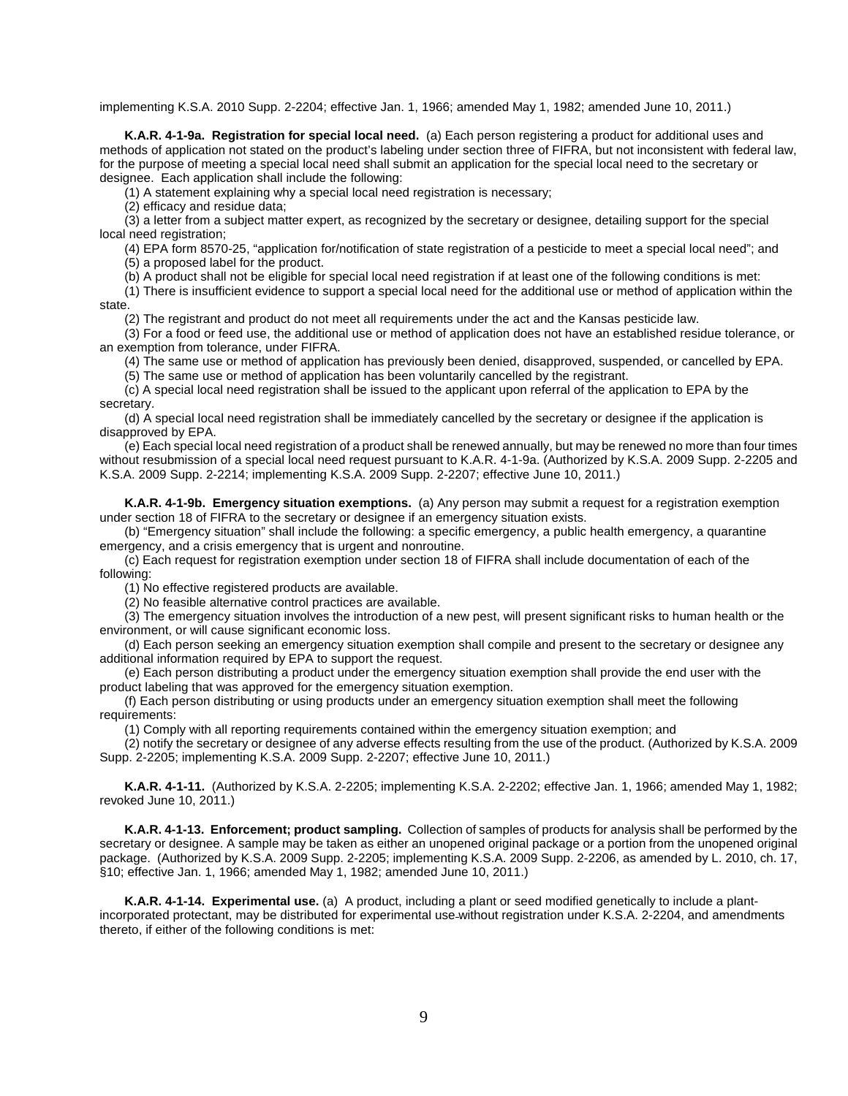implementing K.S.A. 2010 Supp. 2-2204; effective Jan. 1, 1966; amended May 1, 1982; amended June 10, 2011.)

**K.A.R. 4-1-9a. Registration for special local need.** (a) Each person registering a product for additional uses and methods of application not stated on the product's labeling under section three of FIFRA, but not inconsistent with federal law, for the purpose of meeting a special local need shall submit an application for the special local need to the secretary or designee. Each application shall include the following:

(1) A statement explaining why a special local need registration is necessary;

(2) efficacy and residue data;

(3) a letter from a subject matter expert, as recognized by the secretary or designee, detailing support for the special local need registration;

(4) EPA form 8570-25, "application for/notification of state registration of a pesticide to meet a special local need"; and (5) a proposed label for the product.

(b) A product shall not be eligible for special local need registration if at least one of the following conditions is met:

(1) There is insufficient evidence to support a special local need for the additional use or method of application within the state.

(2) The registrant and product do not meet all requirements under the act and the Kansas pesticide law.

(3) For a food or feed use, the additional use or method of application does not have an established residue tolerance, or an exemption from tolerance, under FIFRA.

(4) The same use or method of application has previously been denied, disapproved, suspended, or cancelled by EPA.

(5) The same use or method of application has been voluntarily cancelled by the registrant.

(c) A special local need registration shall be issued to the applicant upon referral of the application to EPA by the secretary.

(d) A special local need registration shall be immediately cancelled by the secretary or designee if the application is disapproved by EPA.

(e) Each special local need registration of a product shall be renewed annually, but may be renewed no more than four times without resubmission of a special local need request pursuant to K.A.R. 4-1-9a. (Authorized by K.S.A. 2009 Supp. 2-2205 and K.S.A. 2009 Supp. 2-2214; implementing K.S.A. 2009 Supp. 2-2207; effective June 10, 2011.)

**K.A.R. 4-1-9b. Emergency situation exemptions.** (a) Any person may submit a request for a registration exemption under section 18 of FIFRA to the secretary or designee if an emergency situation exists.

(b) "Emergency situation" shall include the following: a specific emergency, a public health emergency, a quarantine emergency, and a crisis emergency that is urgent and nonroutine.

(c) Each request for registration exemption under section 18 of FIFRA shall include documentation of each of the following:

(1) No effective registered products are available.

(2) No feasible alternative control practices are available.

(3) The emergency situation involves the introduction of a new pest, will present significant risks to human health or the environment, or will cause significant economic loss.

(d) Each person seeking an emergency situation exemption shall compile and present to the secretary or designee any additional information required by EPA to support the request.

(e) Each person distributing a product under the emergency situation exemption shall provide the end user with the product labeling that was approved for the emergency situation exemption.

(f) Each person distributing or using products under an emergency situation exemption shall meet the following requirements:

(1) Comply with all reporting requirements contained within the emergency situation exemption; and

(2) notify the secretary or designee of any adverse effects resulting from the use of the product. (Authorized by K.S.A. 2009 Supp. 2-2205; implementing K.S.A. 2009 Supp. 2-2207; effective June 10, 2011.)

**K.A.R. 4-1-11.** (Authorized by K.S.A. 2-2205; implementing K.S.A. 2-2202; effective Jan. 1, 1966; amended May 1, 1982; revoked June 10, 2011.)

**K.A.R. 4-1-13. Enforcement; product sampling.** Collection of samples of products for analysis shall be performed by the secretary or designee. A sample may be taken as either an unopened original package or a portion from the unopened original package. (Authorized by K.S.A. 2009 Supp. 2-2205; implementing K.S.A. 2009 Supp. 2-2206, as amended by L. 2010, ch. 17, §10; effective Jan. 1, 1966; amended May 1, 1982; amended June 10, 2011.)

**K.A.R. 4-1-14. Experimental use.** (a) A product, including a plant or seed modified genetically to include a plantincorporated protectant, may be distributed for experimental use without registration under K.S.A. 2-2204, and amendments thereto, if either of the following conditions is met: